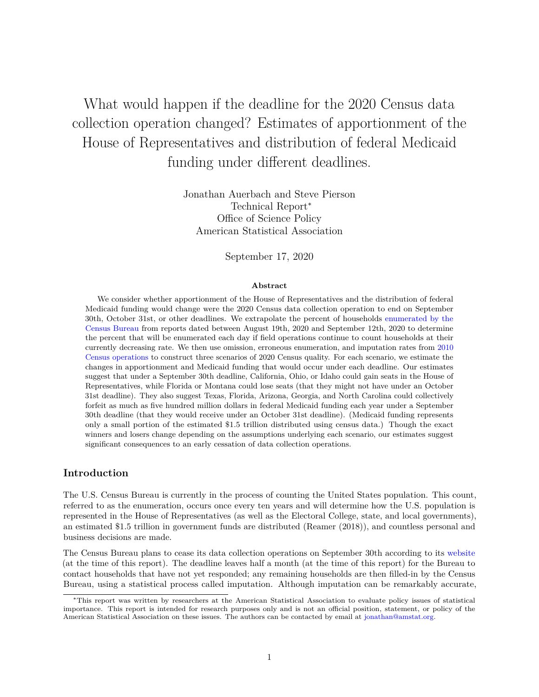What would happen if the deadline for the 2020 Census data collection operation changed? Estimates of apportionment of the House of Representatives and distribution of federal Medicaid funding under different deadlines.

> Jonathan Auerbach and Steve Pierson Technical Report<sup>∗</sup> Office of Science Policy American Statistical Association

> > September 17, 2020

#### **Abstract**

We consider whether apportionment of the House of Representatives and the distribution of federal Medicaid funding would change were the 2020 Census data collection operation to end on September 30th, October 31st, or other deadlines. We extrapolate the percent of households [enumerated by the](https://2020census.gov/en/response-rates/nrfu.html) [Census Bureau](https://2020census.gov/en/response-rates/nrfu.html) from reports dated between August 19th, 2020 and September 12th, 2020 to determine the percent that will be enumerated each day if field operations continue to count households at their currently decreasing rate. We then use omission, erroneous enumeration, and imputation rates from [2010](https://www2.census.gov/programs-surveys/decennial/2010/technical-documentation/methodology/g-series/g01.pdf) [Census operations](https://www2.census.gov/programs-surveys/decennial/2010/technical-documentation/methodology/g-series/g01.pdf) to construct three scenarios of 2020 Census quality. For each scenario, we estimate the changes in apportionment and Medicaid funding that would occur under each deadline. Our estimates suggest that under a September 30th deadline, California, Ohio, or Idaho could gain seats in the House of Representatives, while Florida or Montana could lose seats (that they might not have under an October 31st deadline). They also suggest Texas, Florida, Arizona, Georgia, and North Carolina could collectively forfeit as much as five hundred million dollars in federal Medicaid funding each year under a September 30th deadline (that they would receive under an October 31st deadline). (Medicaid funding represents only a small portion of the estimated \$1.5 trillion distributed using census data.) Though the exact winners and losers change depending on the assumptions underlying each scenario, our estimates suggest significant consequences to an early cessation of data collection operations.

#### **Introduction**

The U.S. Census Bureau is currently in the process of counting the United States population. This count, referred to as the enumeration, occurs once every ten years and will determine how the U.S. population is represented in the House of Representatives (as well as the Electoral College, state, and local governments), an estimated \$1.5 trillion in government funds are distributed (Reamer (2018)), and countless personal and business decisions are made.

The Census Bureau plans to cease its data collection operations on September 30th according to its [website](https://2020census.gov/en/response-rates/nrfu) (at the time of this report). The deadline leaves half a month (at the time of this report) for the Bureau to contact households that have not yet responded; any remaining households are then filled-in by the Census Bureau, using a statistical process called imputation. Although imputation can be remarkably accurate,

<sup>∗</sup>This report was written by researchers at the American Statistical Association to evaluate policy issues of statistical importance. This report is intended for research purposes only and is not an official position, statement, or policy of the American Statistical Association on these issues. The authors can be contacted by email at [jonathan@amstat.org.](mailto:jonathan@amstat.org)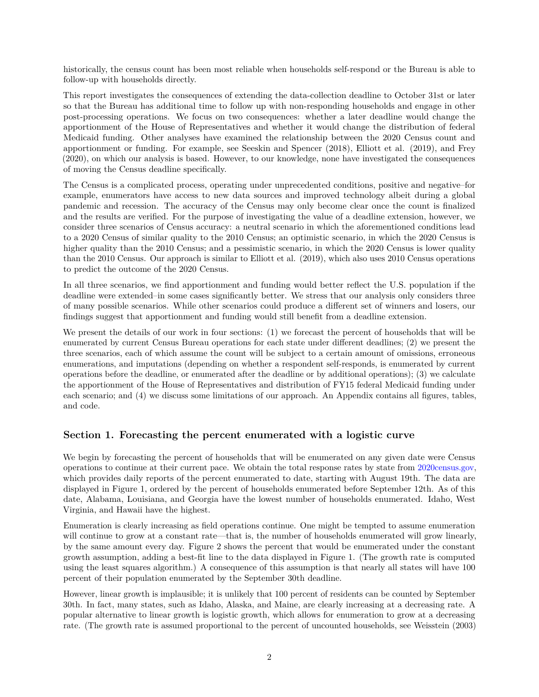historically, the census count has been most reliable when households self-respond or the Bureau is able to follow-up with households directly.

This report investigates the consequences of extending the data-collection deadline to October 31st or later so that the Bureau has additional time to follow up with non-responding households and engage in other post-processing operations. We focus on two consequences: whether a later deadline would change the apportionment of the House of Representatives and whether it would change the distribution of federal Medicaid funding. Other analyses have examined the relationship between the 2020 Census count and apportionment or funding. For example, see Seeskin and Spencer (2018), Elliott et al. (2019), and Frey (2020), on which our analysis is based. However, to our knowledge, none have investigated the consequences of moving the Census deadline specifically.

The Census is a complicated process, operating under unprecedented conditions, positive and negative–for example, enumerators have access to new data sources and improved technology albeit during a global pandemic and recession. The accuracy of the Census may only become clear once the count is finalized and the results are verified. For the purpose of investigating the value of a deadline extension, however, we consider three scenarios of Census accuracy: a neutral scenario in which the aforementioned conditions lead to a 2020 Census of similar quality to the 2010 Census; an optimistic scenario, in which the 2020 Census is higher quality than the 2010 Census; and a pessimistic scenario, in which the 2020 Census is lower quality than the 2010 Census. Our approach is similar to Elliott et al. (2019), which also uses 2010 Census operations to predict the outcome of the 2020 Census.

In all three scenarios, we find apportionment and funding would better reflect the U.S. population if the deadline were extended–in some cases significantly better. We stress that our analysis only considers three of many possible scenarios. While other scenarios could produce a different set of winners and losers, our findings suggest that apportionment and funding would still benefit from a deadline extension.

We present the details of our work in four sections: (1) we forecast the percent of households that will be enumerated by current Census Bureau operations for each state under different deadlines; (2) we present the three scenarios, each of which assume the count will be subject to a certain amount of omissions, erroneous enumerations, and imputations (depending on whether a respondent self-responds, is enumerated by current operations before the deadline, or enumerated after the deadline or by additional operations); (3) we calculate the apportionment of the House of Representatives and distribution of FY15 federal Medicaid funding under each scenario; and (4) we discuss some limitations of our approach. An Appendix contains all figures, tables, and code.

### **Section 1. Forecasting the percent enumerated with a logistic curve**

We begin by forecasting the percent of households that will be enumerated on any given date were Census operations to continue at their current pace. We obtain the total response rates by state from [2020census.gov,](https://2020census.gov/en/response-rates/nrfu.html#dd234650384-co) which provides daily reports of the percent enumerated to date, starting with August 19th. The data are displayed in Figure 1, ordered by the percent of households enumerated before September 12th. As of this date, Alabama, Louisiana, and Georgia have the lowest number of households enumerated. Idaho, West Virginia, and Hawaii have the highest.

Enumeration is clearly increasing as field operations continue. One might be tempted to assume enumeration will continue to grow at a constant rate—that is, the number of households enumerated will grow linearly, by the same amount every day. Figure 2 shows the percent that would be enumerated under the constant growth assumption, adding a best-fit line to the data displayed in Figure 1. (The growth rate is computed using the least squares algorithm.) A consequence of this assumption is that nearly all states will have 100 percent of their population enumerated by the September 30th deadline.

However, linear growth is implausible; it is unlikely that 100 percent of residents can be counted by September 30th. In fact, many states, such as Idaho, Alaska, and Maine, are clearly increasing at a decreasing rate. A popular alternative to linear growth is logistic growth, which allows for enumeration to grow at a decreasing rate. (The growth rate is assumed proportional to the percent of uncounted households, see Weisstein (2003)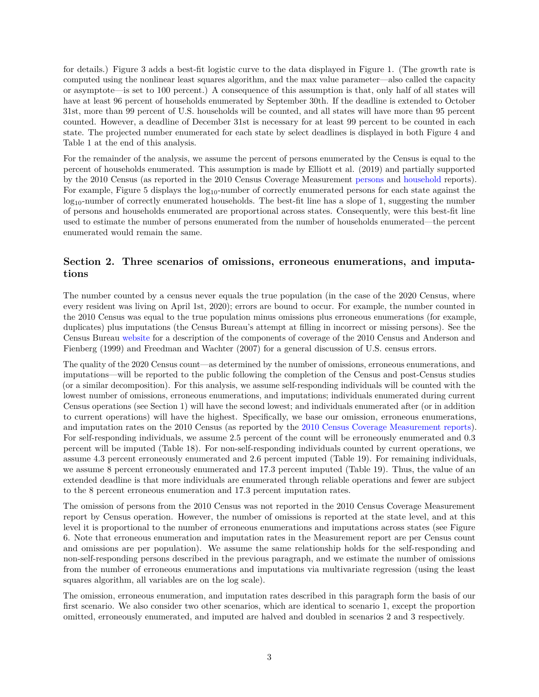for details.) Figure 3 adds a best-fit logistic curve to the data displayed in Figure 1. (The growth rate is computed using the nonlinear least squares algorithm, and the max value parameter—also called the capacity or asymptote—is set to 100 percent.) A consequence of this assumption is that, only half of all states will have at least 96 percent of households enumerated by September 30th. If the deadline is extended to October 31st, more than 99 percent of U.S. households will be counted, and all states will have more than 95 percent counted. However, a deadline of December 31st is necessary for at least 99 percent to be counted in each state. The projected number enumerated for each state by select deadlines is displayed in both Figure 4 and Table 1 at the end of this analysis.

For the remainder of the analysis, we assume the percent of persons enumerated by the Census is equal to the percent of households enumerated. This assumption is made by Elliott et al. (2019) and partially supported by the 2010 Census (as reported in the 2010 Census Coverage Measurement [persons](https://www2.census.gov/programs-surveys/decennial/2010/technical-documentation/methodology/g-series/g01.pdf) and [household](https://www2.census.gov/programs-surveys/decennial/2010/technical-documentation/methodology/g-series/g02.pdf) reports). For example, Figure 5 displays the  $log_{10}$ -number of correctly enumerated persons for each state against the  $\log_{10}$ -number of correctly enumerated households. The best-fit line has a slope of 1, suggesting the number of persons and households enumerated are proportional across states. Consequently, were this best-fit line used to estimate the number of persons enumerated from the number of households enumerated—the percent enumerated would remain the same.

### **Section 2. Three scenarios of omissions, erroneous enumerations, and imputations**

The number counted by a census never equals the true population (in the case of the 2020 Census, where every resident was living on April 1st, 2020); errors are bound to occur. For example, the number counted in the 2010 Census was equal to the true population minus omissions plus erroneous enumerations (for example, duplicates) plus imputations (the Census Bureau's attempt at filling in incorrect or missing persons). See the Census Bureau [website](https://www.census.gov/newsroom/blogs/director/2012/05/how-good-was-the-2010-census-a-view-from-the-post-enumeration-survey.html) for a description of the components of coverage of the 2010 Census and Anderson and Fienberg (1999) and Freedman and Wachter (2007) for a general discussion of U.S. census errors.

The quality of the 2020 Census count—as determined by the number of omissions, erroneous enumerations, and imputations—will be reported to the public following the completion of the Census and post-Census studies (or a similar decomposition). For this analysis, we assume self-responding individuals will be counted with the lowest number of omissions, erroneous enumerations, and imputations; individuals enumerated during current Census operations (see Section 1) will have the second lowest; and individuals enumerated after (or in addition to current operations) will have the highest. Specifically, we base our omission, erroneous enumerations, and imputation rates on the 2010 Census (as reported by the [2010 Census Coverage Measurement reports\)](https://www2.census.gov/programs-surveys/decennial/2010/technical-documentation/methodology/g-series/g01.pdf). For self-responding individuals, we assume 2.5 percent of the count will be erroneously enumerated and 0.3 percent will be imputed (Table 18). For non-self-responding individuals counted by current operations, we assume 4.3 percent erroneously enumerated and 2.6 percent imputed (Table 19). For remaining individuals, we assume 8 percent erroneously enumerated and 17.3 percent imputed (Table 19). Thus, the value of an extended deadline is that more individuals are enumerated through reliable operations and fewer are subject to the 8 percent erroneous enumeration and 17.3 percent imputation rates.

The omission of persons from the 2010 Census was not reported in the 2010 Census Coverage Measurement report by Census operation. However, the number of omissions is reported at the state level, and at this level it is proportional to the number of erroneous enumerations and imputations across states (see Figure 6. Note that erroneous enumeration and imputation rates in the Measurement report are per Census count and omissions are per population). We assume the same relationship holds for the self-responding and non-self-responding persons described in the previous paragraph, and we estimate the number of omissions from the number of erroneous enumerations and imputations via multivariate regression (using the least squares algorithm, all variables are on the log scale).

The omission, erroneous enumeration, and imputation rates described in this paragraph form the basis of our first scenario. We also consider two other scenarios, which are identical to scenario 1, except the proportion omitted, erroneously enumerated, and imputed are halved and doubled in scenarios 2 and 3 respectively.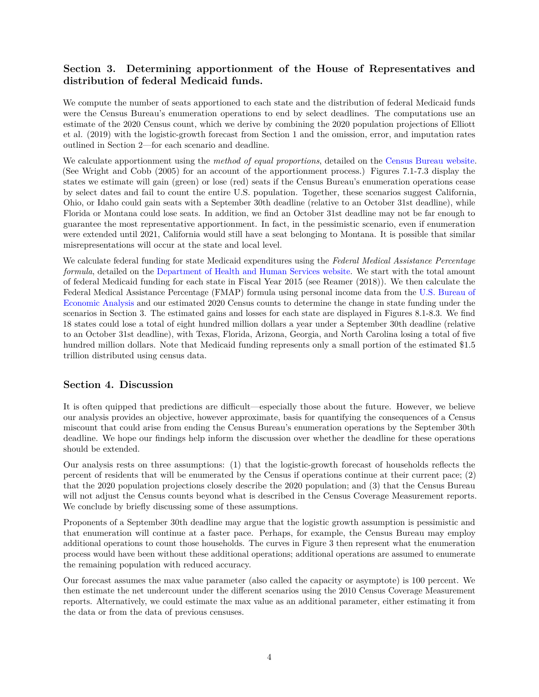## **Section 3. Determining apportionment of the House of Representatives and distribution of federal Medicaid funds.**

We compute the number of seats apportioned to each state and the distribution of federal Medicaid funds were the Census Bureau's enumeration operations to end by select deadlines. The computations use an estimate of the 2020 Census count, which we derive by combining the 2020 population projections of Elliott et al. (2019) with the logistic-growth forecast from Section 1 and the omission, error, and imputation rates outlined in Section 2—for each scenario and deadline.

We calculate apportionment using the *method of equal proportions*, detailed on the [Census Bureau website.](https://www.census.gov/topics/public-sector/congressional-apportionment/about/computing.html) (See Wright and Cobb (2005) for an account of the apportionment process.) Figures 7.1-7.3 display the states we estimate will gain (green) or lose (red) seats if the Census Bureau's enumeration operations cease by select dates and fail to count the entire U.S. population. Together, these scenarios suggest California, Ohio, or Idaho could gain seats with a September 30th deadline (relative to an October 31st deadline), while Florida or Montana could lose seats. In addition, we find an October 31st deadline may not be far enough to guarantee the most representative apportionment. In fact, in the pessimistic scenario, even if enumeration were extended until 2021, California would still have a seat belonging to Montana. It is possible that similar misrepresentations will occur at the state and local level.

We calculate federal funding for state Medicaid expenditures using the *Federal Medical Assistance Percentage formula*, detailed on the [Department of Health and Human Services website.](https://aspe.hhs.gov/basic-report/fy2015-federal-medical-assistance-percentages) We start with the total amount of federal Medicaid funding for each state in Fiscal Year 2015 (see Reamer (2018)). We then calculate the Federal Medical Assistance Percentage (FMAP) formula using personal income data from the [U.S. Bureau of](https://apps.bea.gov/iTable/index_regional.cfm) [Economic Analysis](https://apps.bea.gov/iTable/index_regional.cfm) and our estimated 2020 Census counts to determine the change in state funding under the scenarios in Section 3. The estimated gains and losses for each state are displayed in Figures 8.1-8.3. We find 18 states could lose a total of eight hundred million dollars a year under a September 30th deadline (relative to an October 31st deadline), with Texas, Florida, Arizona, Georgia, and North Carolina losing a total of five hundred million dollars. Note that Medicaid funding represents only a small portion of the estimated \$1.5 trillion distributed using census data.

### **Section 4. Discussion**

It is often quipped that predictions are difficult—especially those about the future. However, we believe our analysis provides an objective, however approximate, basis for quantifying the consequences of a Census miscount that could arise from ending the Census Bureau's enumeration operations by the September 30th deadline. We hope our findings help inform the discussion over whether the deadline for these operations should be extended.

Our analysis rests on three assumptions: (1) that the logistic-growth forecast of households reflects the percent of residents that will be enumerated by the Census if operations continue at their current pace; (2) that the 2020 population projections closely describe the 2020 population; and (3) that the Census Bureau will not adjust the Census counts beyond what is described in the Census Coverage Measurement reports. We conclude by briefly discussing some of these assumptions.

Proponents of a September 30th deadline may argue that the logistic growth assumption is pessimistic and that enumeration will continue at a faster pace. Perhaps, for example, the Census Bureau may employ additional operations to count those households. The curves in Figure 3 then represent what the enumeration process would have been without these additional operations; additional operations are assumed to enumerate the remaining population with reduced accuracy.

Our forecast assumes the max value parameter (also called the capacity or asymptote) is 100 percent. We then estimate the net undercount under the different scenarios using the 2010 Census Coverage Measurement reports. Alternatively, we could estimate the max value as an additional parameter, either estimating it from the data or from the data of previous censuses.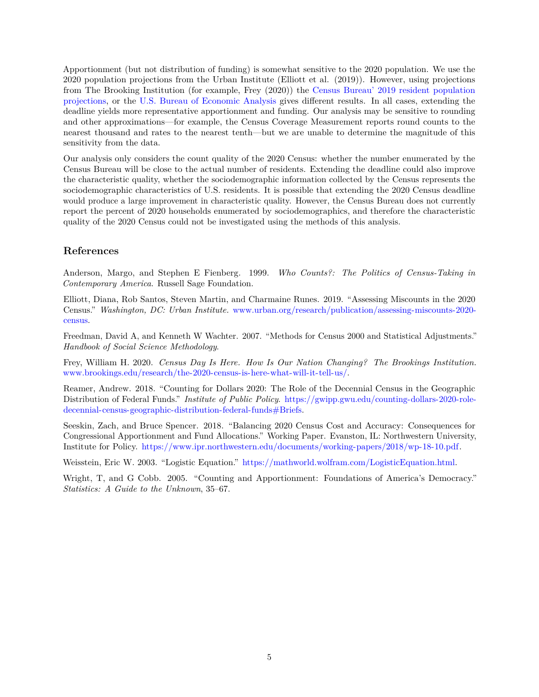Apportionment (but not distribution of funding) is somewhat sensitive to the 2020 population. We use the 2020 population projections from the Urban Institute (Elliott et al. (2019)). However, using projections from The Brooking Institution (for example, Frey (2020)) the [Census Bureau' 2019 resident population](https://www.census.gov/data/tables/time-series/demo/popest/2010s-state-total.html#par_textimage_1574439295) [projections,](https://www.census.gov/data/tables/time-series/demo/popest/2010s-state-total.html#par_textimage_1574439295) or the [U.S. Bureau of Economic Analysis](https://apps.bea.gov/iTable/index_regional.cfm) gives different results. In all cases, extending the deadline yields more representative apportionment and funding. Our analysis may be sensitive to rounding and other approximations—for example, the Census Coverage Measurement reports round counts to the nearest thousand and rates to the nearest tenth—but we are unable to determine the magnitude of this sensitivity from the data.

Our analysis only considers the count quality of the 2020 Census: whether the number enumerated by the Census Bureau will be close to the actual number of residents. Extending the deadline could also improve the characteristic quality, whether the sociodemographic information collected by the Census represents the sociodemographic characteristics of U.S. residents. It is possible that extending the 2020 Census deadline would produce a large improvement in characteristic quality. However, the Census Bureau does not currently report the percent of 2020 households enumerated by sociodemographics, and therefore the characteristic quality of the 2020 Census could not be investigated using the methods of this analysis.

### **References**

Anderson, Margo, and Stephen E Fienberg. 1999. *Who Counts?: The Politics of Census-Taking in Contemporary America*. Russell Sage Foundation.

Elliott, Diana, Rob Santos, Steven Martin, and Charmaine Runes. 2019. "Assessing Miscounts in the 2020 Census." *Washington, DC: Urban Institute.* [www.urban.org/research/publication/assessing-miscounts-2020](www.urban.org/research/publication/assessing-miscounts-2020-census) [census.](www.urban.org/research/publication/assessing-miscounts-2020-census)

Freedman, David A, and Kenneth W Wachter. 2007. "Methods for Census 2000 and Statistical Adjustments." *Handbook of Social Science Methodology*.

Frey, William H. 2020. *Census Day Is Here. How Is Our Nation Changing? The Brookings Institution.* [www.brookings.edu/research/the-2020-census-is-here-what-will-it-tell-us/.](www.brookings.edu/research/the-2020-census-is-here-what-will-it-tell-us/)

Reamer, Andrew. 2018. "Counting for Dollars 2020: The Role of the Decennial Census in the Geographic Distribution of Federal Funds." *Institute of Public Policy*. [https://gwipp.gwu.edu/counting-dollars-2020-role](https://gwipp.gwu.edu/counting-dollars-2020-role-decennial-census-geographic-distribution-federal-funds#Briefs)[decennial-census-geographic-distribution-federal-funds#Briefs.](https://gwipp.gwu.edu/counting-dollars-2020-role-decennial-census-geographic-distribution-federal-funds#Briefs)

Seeskin, Zach, and Bruce Spencer. 2018. "Balancing 2020 Census Cost and Accuracy: Consequences for Congressional Apportionment and Fund Allocations." Working Paper. Evanston, IL: Northwestern University, Institute for Policy. [https://www.ipr.northwestern.edu/documents/working-papers/2018/wp-18-10.pdf.](https://www.ipr.northwestern.edu/documents/working-papers/2018/wp-18-10.pdf)

Weisstein, Eric W. 2003. "Logistic Equation." [https://mathworld.wolfram.com/LogisticEquation.html.](https://mathworld.wolfram.com/LogisticEquation.html)

Wright, T, and G Cobb. 2005. "Counting and Apportionment: Foundations of America's Democracy." *Statistics: A Guide to the Unknown*, 35–67.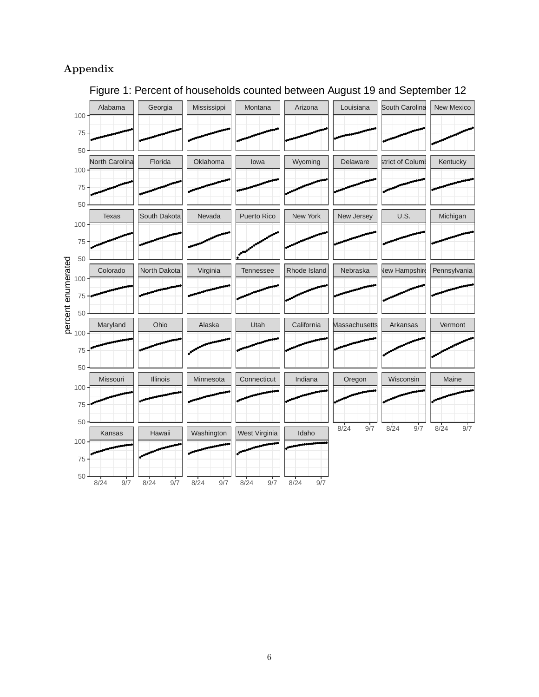# **Appendix**



# Figure 1: Percent of households counted between August 19 and September 12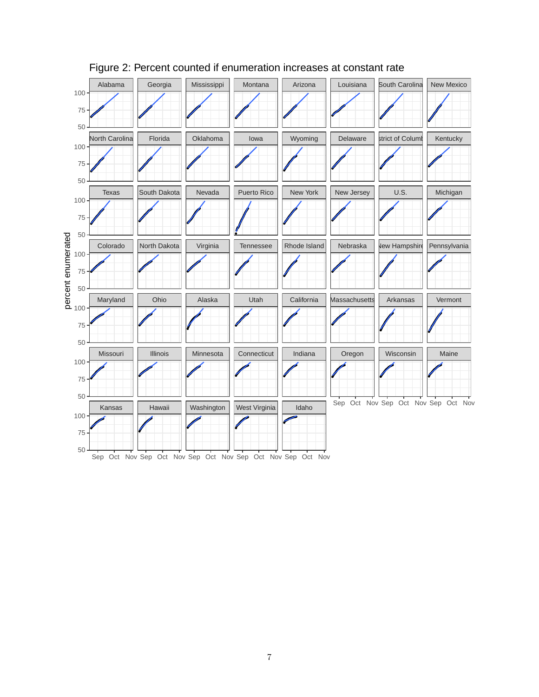

# Figure 2: Percent counted if enumeration increases at constant rate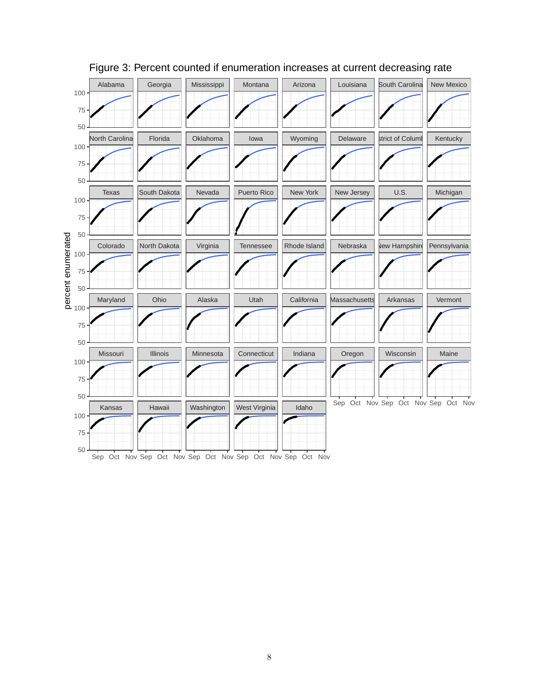

# Figure 3: Percent counted if enumeration increases at current decreasing rate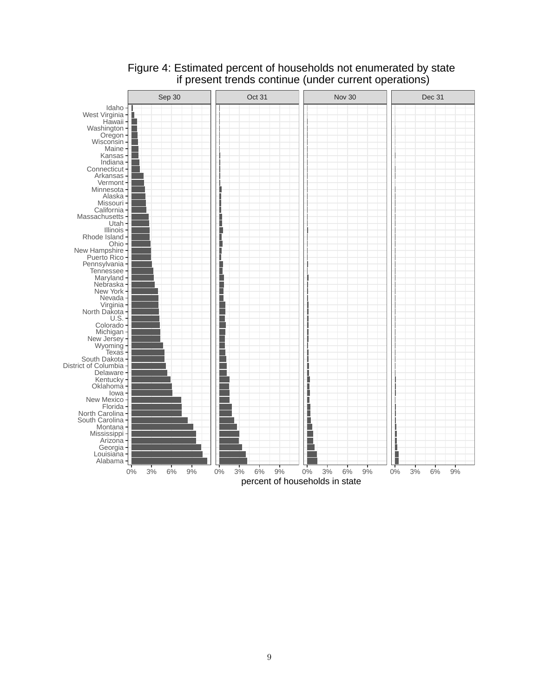

# Figure 4: Estimated percent of households not enumerated by state if present trends continue (under current operations)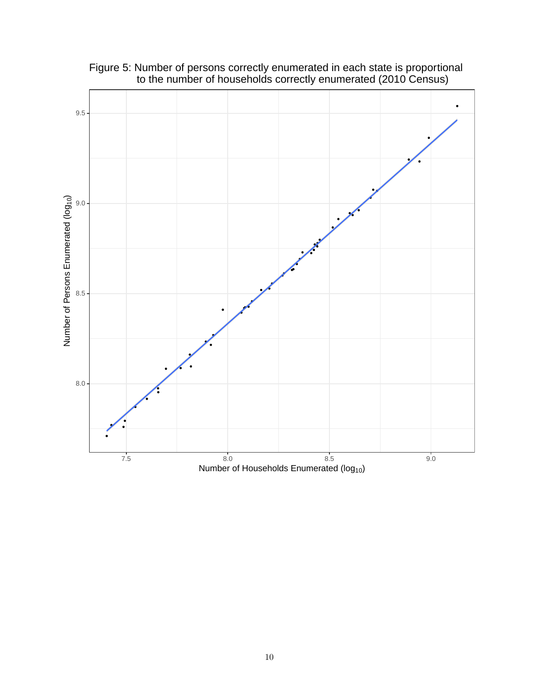

Figure 5: Number of persons correctly enumerated in each state is proportional to the number of households correctly enumerated (2010 Census)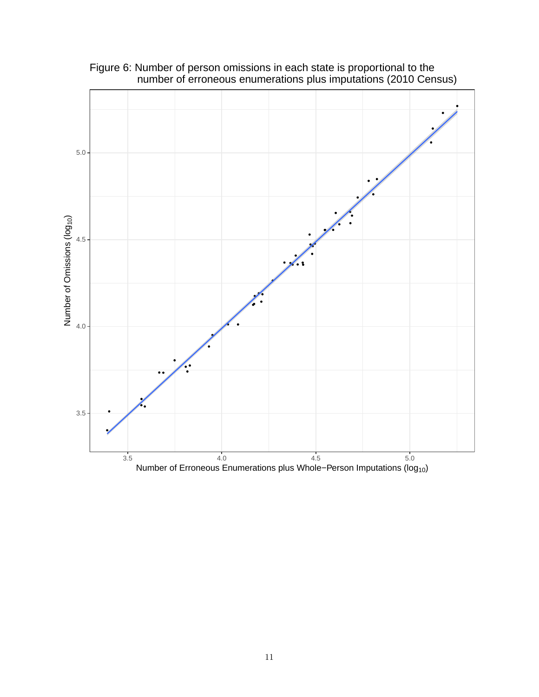

Figure 6: Number of person omissions in each state is proportional to the number of erroneous enumerations plus imputations (2010 Census)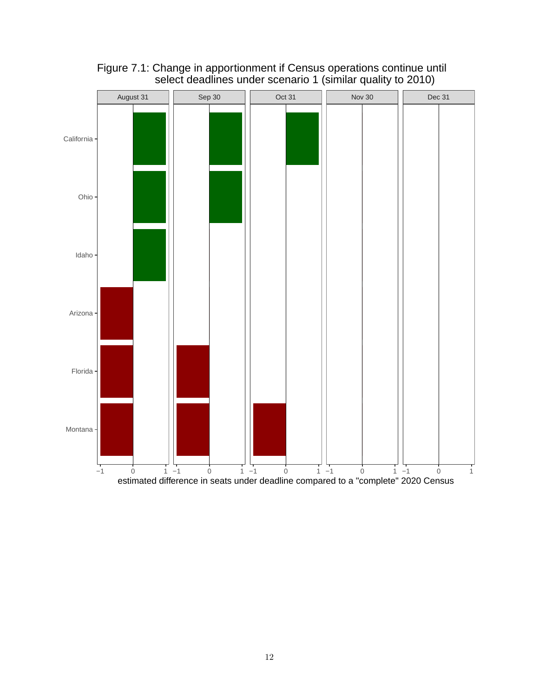

Figure 7.1: Change in apportionment if Census operations continue until select deadlines under scenario 1 (similar quality to 2010)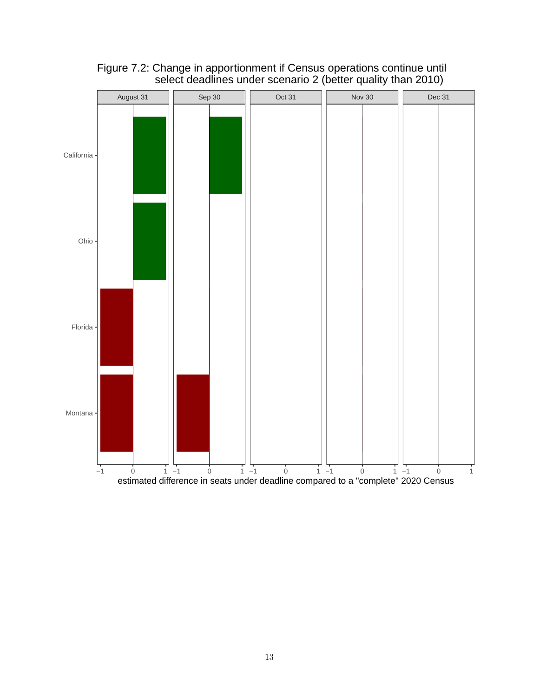

Figure 7.2: Change in apportionment if Census operations continue until select deadlines under scenario 2 (better quality than 2010)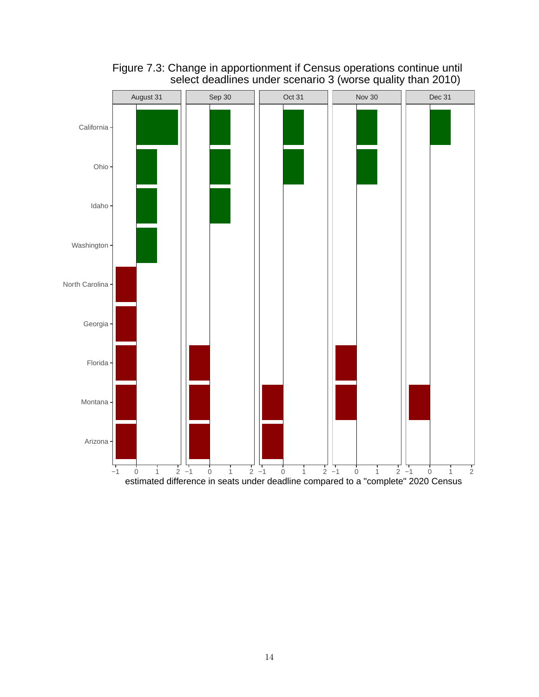

Figure 7.3: Change in apportionment if Census operations continue until select deadlines under scenario 3 (worse quality than 2010)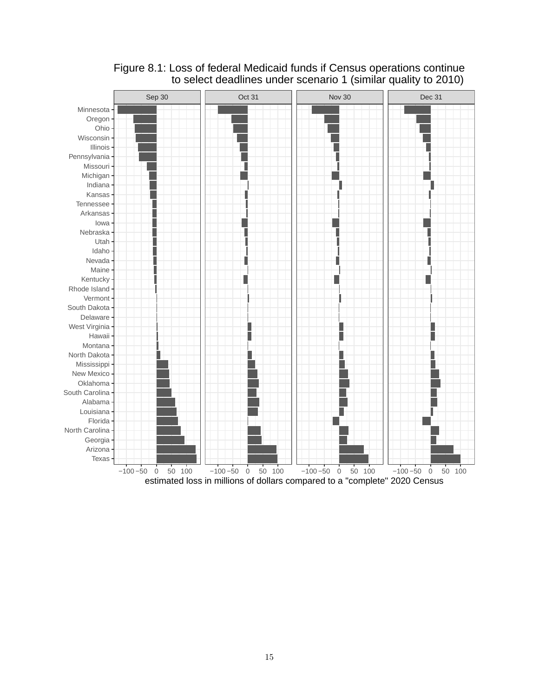

## Figure 8.1: Loss of federal Medicaid funds if Census operations continue to select deadlines under scenario 1 (similar quality to 2010)

estimated loss in millions of dollars compared to a "complete" 2020 Census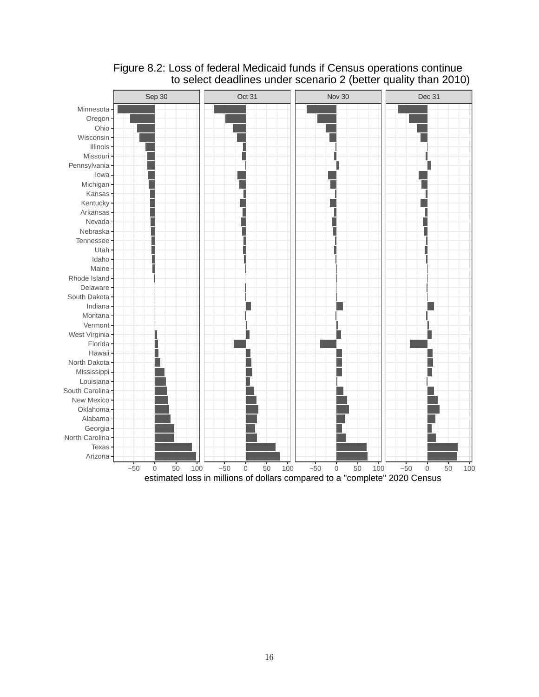

# Figure 8.2: Loss of federal Medicaid funds if Census operations continue to select deadlines under scenario 2 (better quality than 2010)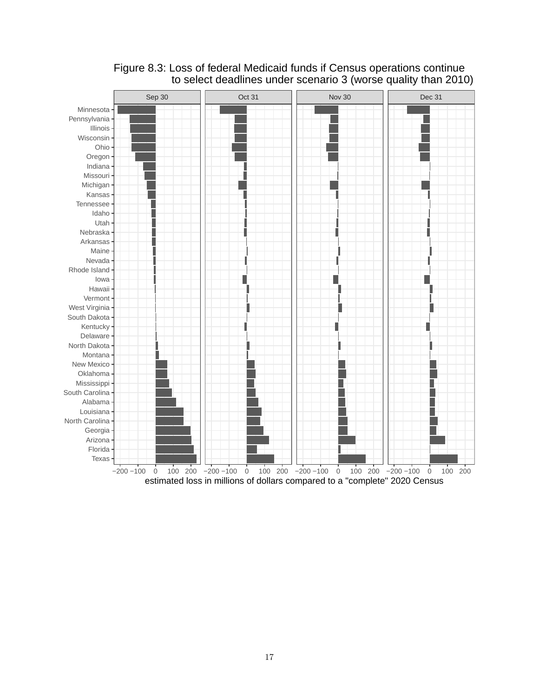

# Figure 8.3: Loss of federal Medicaid funds if Census operations continue to select deadlines under scenario 3 (worse quality than 2010)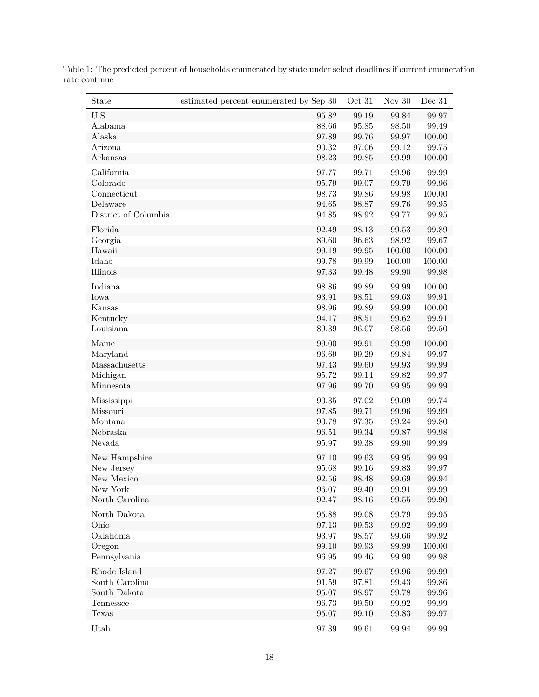| State                | estimated percent enumerated by Sep 30 | Oct 31    | Nov $30$             | Dec 31               |
|----------------------|----------------------------------------|-----------|----------------------|----------------------|
| U.S.                 | 95.82                                  | 99.19     | 99.84                | 99.97                |
| Alabama              | 88.66                                  | 95.85     | 98.50                | 99.49                |
| Alaska               | 97.89                                  | 99.76     | 99.97                | 100.00               |
| Arizona              | 90.32                                  | 97.06     | 99.12                | 99.75                |
| Arkansas             | 98.23                                  | 99.85     | 99.99                | 100.00               |
| California           | 97.77                                  | 99.71     | 99.96                | 99.99                |
| Colorado             | 95.79                                  | 99.07     | 99.79                | 99.96                |
| Connecticut          | 98.73                                  | 99.86     | 99.98                | 100.00               |
| Delaware             | 94.65                                  | 98.87     | 99.76                | 99.95                |
| District of Columbia | 94.85                                  | 98.92     | 99.77                | $\boldsymbol{99.95}$ |
| Florida              | 92.49                                  | 98.13     | 99.53                | 99.89                |
| Georgia              | 89.60                                  | 96.63     | 98.92                | 99.67                |
| Hawaii               | 99.19                                  | 99.95     | 100.00               | 100.00               |
| Idaho                | 99.78                                  | 99.99     | 100.00               | 100.00               |
| Illinois             | 97.33                                  | 99.48     | 99.90                | 99.98                |
| Indiana              | 98.86                                  | 99.89     | 99.99                | 100.00               |
| Iowa                 | 93.91                                  | 98.51     | 99.63                | 99.91                |
| Kansas               | 98.96                                  | 99.89     | 99.99                | 100.00               |
| Kentucky             | 94.17                                  | 98.51     | 99.62                | 99.91                |
| Louisiana            | 89.39                                  | 96.07     | 98.56                | 99.50                |
| Maine                | 99.00                                  | 99.91     | 99.99                | 100.00               |
| Maryland             | 96.69                                  | 99.29     | 99.84                | 99.97                |
| Massachusetts        | 97.43                                  | 99.60     | 99.93                | 99.99                |
| Michigan             | 95.72                                  | 99.14     | 99.82                | 99.97                |
| Minnesota            | 97.96                                  | 99.70     | $\boldsymbol{99.95}$ | 99.99                |
| Mississippi          | 90.35                                  | 97.02     | 99.09                | 99.74                |
| Missouri             | 97.85                                  | 99.71     | 99.96                | 99.99                |
| Montana              | 90.78                                  | $97.35\,$ | 99.24                | 99.80                |
| Nebraska             | 96.51                                  | 99.34     | 99.87                | 99.98                |
| Nevada               | 95.97                                  | 99.38     | 99.90                | 99.99                |
| New Hampshire        | 97.10                                  | 99.63     | 99.95                | 99.99                |
| New Jersey           | 95.68                                  | 99.16     | 99.83                | 99.97                |
| New Mexico           | 92.56                                  | 98.48     | 99.69                | 99.94                |
| New York             | 96.07                                  | 99.40     | 99.91                | 99.99                |
| North Carolina       | 92.47                                  | 98.16     | 99.55                | 99.90                |
| North Dakota         | 95.88                                  | 99.08     | 99.79                | $\boldsymbol{99.95}$ |
| Ohio                 | 97.13                                  | 99.53     | 99.92                | 99.99                |
| Oklahoma             | 93.97                                  | 98.57     | 99.66                | 99.92                |
| Oregon               | 99.10                                  | 99.93     | 99.99                | 100.00               |
| Pennsylvania         | 96.95                                  | 99.46     | 99.90                | 99.98                |
| Rhode Island         | 97.27                                  | 99.67     | 99.96                | 99.99                |
| South Carolina       | 91.59                                  | 97.81     | 99.43                | 99.86                |
| South Dakota         | $95.07\,$                              | 98.97     | 99.78                | 99.96                |
| Tennessee            | 96.73                                  | 99.50     | 99.92                | 99.99                |
| Texas                | 95.07                                  | 99.10     | 99.83                | 99.97                |
| Utah                 | 97.39                                  | 99.61     | 99.94                | 99.99                |
|                      |                                        |           |                      |                      |

Table 1: The predicted percent of households enumerated by state under select deadlines if current enumeration rate continue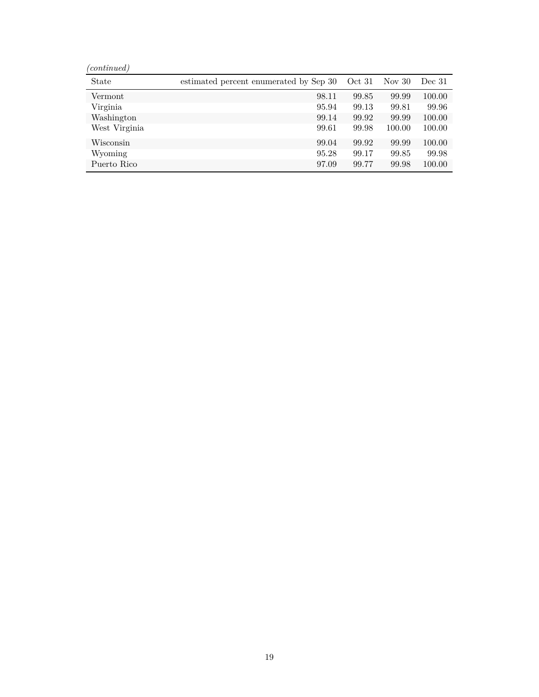| (continued)   |                                        |        |          |        |
|---------------|----------------------------------------|--------|----------|--------|
| State         | estimated percent enumerated by Sep 30 | Oct 31 | Nov $30$ | Dec 31 |
| Vermont.      | 98.11                                  | 99.85  | 99.99    | 100.00 |
| Virginia      | 95.94                                  | 99.13  | 99.81    | 99.96  |
| Washington    | 99.14                                  | 99.92  | 99.99    | 100.00 |
| West Virginia | 99.61                                  | 99.98  | 100.00   | 100.00 |
| Wisconsin     | 99.04                                  | 99.92  | 99.99    | 100.00 |
| Wyoming       | 95.28                                  | 99.17  | 99.85    | 99.98  |
| Puerto Rico   | 97.09                                  | 99.77  | 99.98    | 100.00 |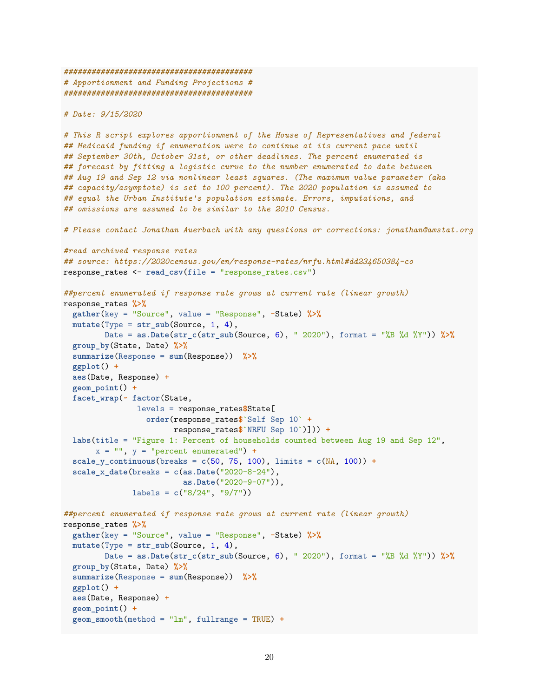```
#########################################
# Apportionment and Funding Projections #
#########################################
```
*# Date: 9/15/2020*

*# This R script explores apportionment of the House of Representatives and federal ## Medicaid funding if enumeration were to continue at its current pace until ## September 30th, October 31st, or other deadlines. The percent enumerated is ## forecast by fitting a logistic curve to the number enumerated to date between ## Aug 19 and Sep 12 via nonlinear least squares. (The maximum value parameter (aka ## capacity/asymptote) is set to 100 percent). The 2020 population is assumed to ## equal the Urban Institute's population estimate. Errors, imputations, and ## omissions are assumed to be similar to the 2010 Census.*

*# Please contact Jonathan Auerbach with any questions or corrections: jonathan@amstat.org*

```
#read archived response rates
## source: https://2020census.gov/en/response-rates/nrfu.html#dd234650384-co
response_rates <- read_csv(file = "response_rates.csv")
##percent enumerated if response rate grows at current rate (linear growth)
response_rates %>%
  gather(key = "Source", value = "Response", -State) %>%
  mutate(Type = str_sub(Source, 1, 4),
        Date = as.Date(str_c(str_sub(Source, 6), " 2020"), format = "%B %d %Y")) %>%
  group_by(State, Date) %>%
  summarize(Response = sum(Response)) %>%
  ggplot() +
  aes(Date, Response) +
 geom_point() +
 facet_wrap(~ factor(State,
               levels = response_rates$State[
                  order(response_rates$`Self Sep 10` +
                        response_rates$`NRFU Sep 10`)])) +
  labs(title = "Figure 1: Percent of households counted between Aug 19 and Sep 12",
       x = "", y = "percent enumerated") +scale y continuous (breaks = c(50, 75, 100), limits = c(MA, 100)) +
  scale x date(breaks = c(as.Date("2020-8-24"),as.Date("2020-9-07")),
              labels = c("8/24", "9/7"))
##percent enumerated if response rate grows at current rate (linear growth)
response_rates %>%
  gather(key = "Source", value = "Response", -State) %>%
  mutate(Type = str_sub(Source, 1, 4),
        Date = as.Date(str_c(str_sub(Source, 6), " 2020"), format = "%B %d %Y")) %>%
  group_by(State, Date) %>%
  summarize(Response = sum(Response)) %>%
  ggplot() +
  aes(Date, Response) +
  geom_point() +
  geom_smooth(method = "lm", fullrange = TRUE) +
```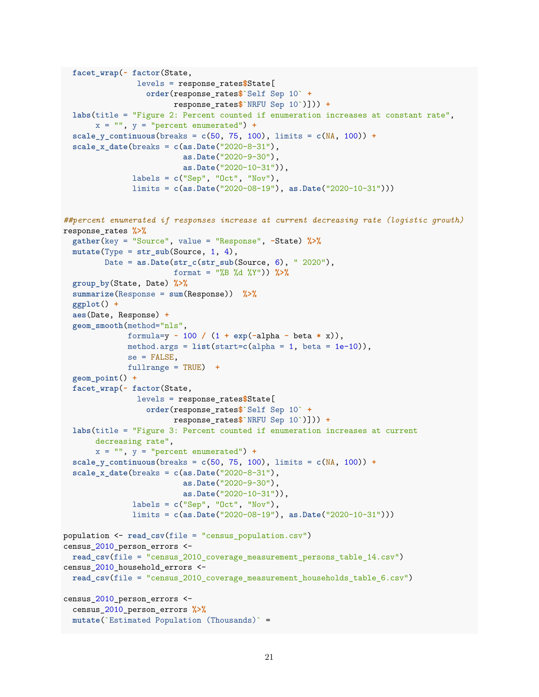```
facet_wrap(~ factor(State,
                levels = response_rates$State[
                  order(response_rates$`Self Sep 10` +
                        response_rates$`NRFU Sep 10`)])) +
  labs(title = "Figure 2: Percent counted if enumeration increases at constant rate",
      x = "", y = "percent enumerated") +scale_y_continuous(breaks = c(50, 75, 100), limits = c(NA, 100)) +
  scale x date(breaks = c(as.Date("2020-8-31"),
                          as.Date("2020-9-30"),
                          as.Date("2020-10-31")),
              labels = c("Sep", "Oct", "Nov"),
              limits = c(as.Date("2020-08-19"), as.Date("2020-10-31")))
##percent enumerated if responses increase at current decreasing rate (logistic growth)
response_rates %>%
  gather(key = "Source", value = "Response", -State) %>%
  mutate(Type = str_sub(Source, 1, 4),
         Date = as.Date(str_c(str_sub(Source, 6), " 2020"),
                        format = "%B %d %Y")) %>%
  group_by(State, Date) %>%
  summarize(Response = sum(Response)) %>%
  ggplot() +
  aes(Date, Response) +
  geom_smooth(method="nls",
              formula=y ~ 100 / (1 + exp(-alpha - beta * x)),
              method.args = list(start=c(alpha = 1, beta = 1e-10)),
              se = FALSE,
              fullrange = TRUE) +
  geom_point() +
  facet_wrap(~ factor(State,
               levels = response_rates$State[
                  order(response_rates$`Self Sep 10` +
                       response_rates$`NRFU Sep 10`)])) +
  labs(title = "Figure 3: Percent counted if enumeration increases at current
       decreasing rate",
       x = "", y = "percent enumerated") +scale y continuous (breaks = c(50, 75, 100), limits = c(MA, 100)) +
  scale_x_date(breaks = c(as.Date("2020-8-31"),
                          as.Date("2020-9-30"),
                          as.Date("2020-10-31")),
              labels = c("Sep", "Oct", "Nov"),
              limits = c(as.Date("2020-08-19"), as.Date("2020-10-31")))
population <- read_csv(file = "census_population.csv")
census_2010_person_errors <-
  read_csv(file = "census_2010_coverage_measurement_persons_table_14.csv")
census_2010_household_errors <-
 read_csv(file = "census_2010_coverage_measurement_households_table_6.csv")
census_2010_person_errors <-
 census_2010_person_errors %>%
 mutate(`Estimated Population (Thousands)` =
```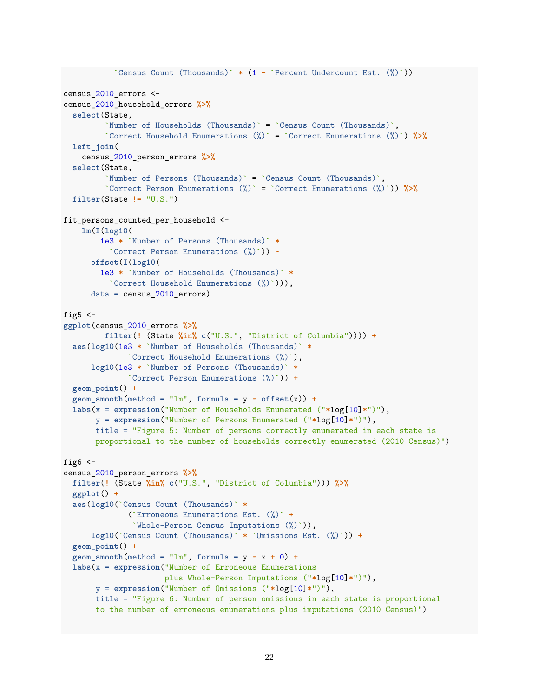```
`Census Count (Thousands)` * (1 - `Percent Undercount Est. (%)`))
census 2010 errors <-
census_2010_household_errors %>%
  select(State,
         `Number of Households (Thousands)` = `Census Count (Thousands)`,
         `Correct Household Enumerations (%)` = `Correct Enumerations (%)`) %>%
  left_join(
    census_2010_person_errors %>%
  select(State,
         `Number of Persons (Thousands)` = `Census Count (Thousands)`,
         `Correct Person Enumerations (%)` = `Correct Enumerations (%)`)) %>%
  filter(State != "U.S.")
fit_persons_counted_per_household <-
   lm(I(log10(
        1e3 * `Number of Persons (Thousands)` *
          `Correct Person Enumerations (%)`)) ~
      offset(I(log10(
        1e3 * `Number of Households (Thousands)` *
          `Correct Household Enumerations (%)`))),
      data = census_2010_errors)
fig5 <-ggplot(census_2010_errors %>%
         filter(! (State %in% c("U.S.", "District of Columbia")))) +
  aes(log10(1e3 * `Number of Households (Thousands)` *
              `Correct Household Enumerations (%)`),
     log10(1e3 * `Number of Persons (Thousands)` *
              `Correct Person Enumerations (%)`)) +
  geom_point() +
  geom\_smooth(method = "lm", formula = y ~ offset(x)) +labs(x = expression("Number of Households Enumerated ("*log[10]*")"),
       y = expression("Number of Persons Enumerated ("*log[10]*")"),
      title = "Figure 5: Number of persons correctly enumerated in each state is
       proportional to the number of households correctly enumerated (2010 Census)")
fig6 <-
census_2010_person_errors %>%
  filter(! (State %in% c("U.S.", "District of Columbia"))) %>%
  ggplot() +
  aes(log10(`Census Count (Thousands)` *
              (`Erroneous Enumerations Est. (%)` +
               `Whole-Person Census Imputations (%)`)),
      log10(`Census Count (Thousands)` * `Omissions Est. (%)`)) +
  geom_point() +
  geom\_smooth(method = "lm", formula = y - x + 0) +labs(x = expression("Number of Erroneous Enumerations
                      plus Whole-Person Imputations ("*log[10]*")"),
       y = expression("Number of Omissions ("*log[10]*")"),
      title = "Figure 6: Number of person omissions in each state is proportional
      to the number of erroneous enumerations plus imputations (2010 Census)")
```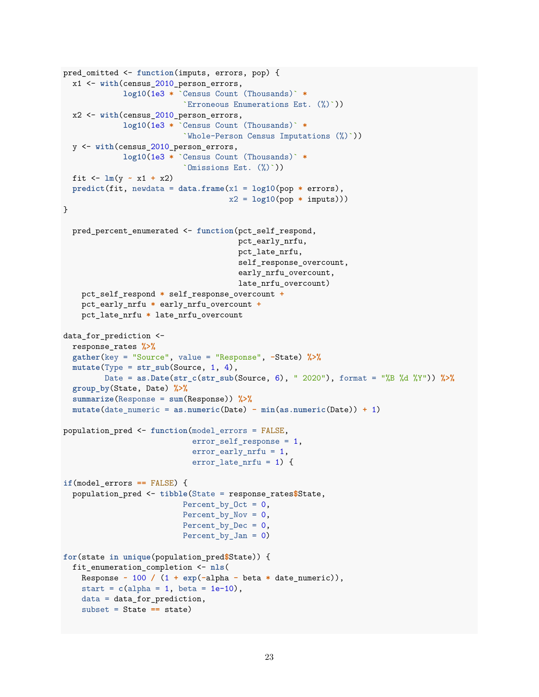```
pred_omitted <- function(imputs, errors, pop) {
  x1 <- with(census_2010_person_errors,
             log10(1e3 * `Census Count (Thousands)` *
                          `Erroneous Enumerations Est. (%)`))
  x2 <- with(census_2010_person_errors,
             log10(1e3 * `Census Count (Thousands)` *
                          `Whole-Person Census Imputations (%)`))
  y <- with(census_2010_person_errors,
             log10(1e3 * `Census Count (Thousands)` *
                          `Omissions Est. (%)`))
  fit \leftarrow \ln(y - x1 + x2)predict(fit, newdata = data.frame(x1 = log10(pop * errors),
                                    x2 = log10(pop * imputs)))
}
  pred_percent_enumerated <- function(pct_self_respond,
                                      pct_early_nrfu,
                                      pct_late_nrfu,
                                      self_response_overcount,
                                      early_nrfu_overcount,
                                      late nrfu overcount)
    pct_self_respond * self_response_overcount +
    pct_early_nrfu * early_nrfu_overcount +
    pct_late_nrfu * late_nrfu_overcount
data_for_prediction <-
  response_rates %>%
  gather(key = "Source", value = "Response", -State) %>%
  mutate(Type = str_sub(Source, 1, 4),
         Date = as.Date(str_c(str_sub(Source, 6), " 2020"), format = "%B %d %Y")) %>%
  group_by(State, Date) %>%
  summarize(Response = sum(Response)) %>%
  mutate(date_numeric = as.numeric(Date) - min(as.numeric(Date)) + 1)
population_pred <- function(model_errors = FALSE,
                            error_self_response = 1,
                            error_early_nrfu = 1,
                            error late nrfu = 1) {
if(model_errors == FALSE) {
  population_pred <- tibble(State = response_rates$State,
                          Percent_by_Oct = 0,
                          Percent by Nov = 0,
                          Percent by Dec = 0,
                          Percent_by_Jan = 0)
for(state in unique(population_pred$State)) {
  fit_enumeration_completion <- nls(
    Response ~ 100 / (1 + exp(-alpha - beta * date_numeric)),
    start = c(alpha = 1, beta = 1e-10),
    data = data_for_prediction,
    subset = State == state)
```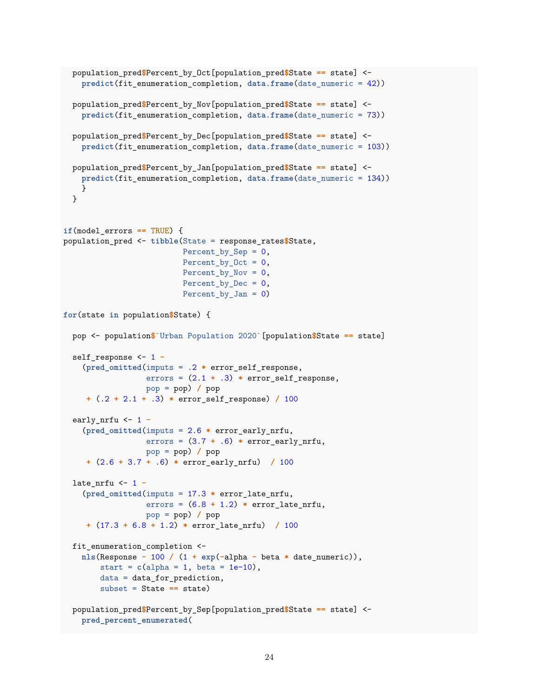```
population_pred$Percent_by_Oct[population_pred$State == state] <-
   predict(fit_enumeration_completion, data.frame(date_numeric = 42))
  population_pred$Percent_by_Nov[population_pred$State == state] <-
   predict(fit_enumeration_completion, data.frame(date_numeric = 73))
 population_pred$Percent_by_Dec[population_pred$State == state] <-
   predict(fit_enumeration_completion, data.frame(date_numeric = 103))
 population_pred$Percent_by_Jan[population_pred$State == state] <-
   predict(fit_enumeration_completion, data.frame(date_numeric = 134))
   }
 }
if(model_errors == TRUE) {
population_pred <- tibble(State = response_rates$State,
                          Percent_by_Sep = 0,
                          Percent_by_Oct = 0,
                          Percent by Nov = 0,
                          Percent by Dec = 0,
                          Percent_by_Jan = 0)
for(state in population$State) {
 pop <- population$`Urban Population 2020`[population$State == state]
  self_response <- 1 -
    (pred_omitted(imputs = .2 * error_self_response,
                  errors = (2.1 + .3) * error_self_response,
                  pop = pop) / pop
     + (.2 + 2.1 + .3) * error_self_response) / 100
  early_nrfu <- 1 -
    (pred_omitted(imputs = 2.6 * error_early_nrfu,
                  errors = (3.7 + .6) * error_early_nrfu,
                  pop = pop) / pop
     + (2.6 + 3.7 + .6) * error_early_nrfu) / 100
  late_nrfu <- 1 -
    (pred_omitted(imputs = 17.3 * error_late_nrfu,
                  errors = (6.8 + 1.2) * error_late_nrfu,
                  pop = pop) / pop
     + (17.3 + 6.8 + 1.2) * error_late_nrfu) / 100
 fit_enumeration_completion <-
   nls(Response ~ 100 / (1 + exp(-alpha - beta * date_numeric)),
        start = c(alpha = 1, beta = 1e-10),
       data = data_for_prediction,
       subset = State == state)
 population_pred$Percent_by_Sep[population_pred$State == state] <-
   pred_percent_enumerated(
```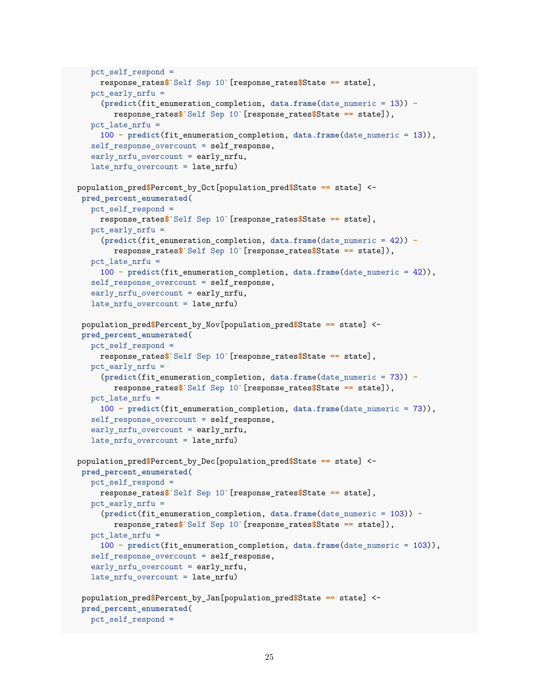```
pct self respond =
     response_rates$`Self Sep 10`[response_rates$State == state],
   pct early nrfu =(predict(fit_enumeration_completion, data.frame(date_numeric = 13)) -
        response_rates$`Self Sep 10`[response_rates$State == state]),
   pct late nrfu =100 - predict(fit_enumeration_completion, data.frame(date_numeric = 13)),
   self_response_overcount = self_response,
   early_nrfu_overcount = early_nrfu,
   late_nrfu_overcount = late_nrfu)
population_pred$Percent_by_Oct[population_pred$State == state] <-
 pred_percent_enumerated(
   pct_self_respond =
     response_rates$`Self Sep 10`[response_rates$State == state],
   pct early nrfu =(predict(fit_enumeration_completion, data.frame(date_numeric = 42)) -
        response_rates$`Self Sep 10`[response_rates$State == state]),
   pct_late_nrfu =
     100 - predict(fit_enumeration_completion, data.frame(date_numeric = 42)),
   self response overcount = self response,
   early_nrfu_overcount = early_nrfu,
   late_nrfu_overcount = late_nrfu)
 population_pred$Percent_by_Nov[population_pred$State == state] <-
 pred_percent_enumerated(
  pct_self_respond =
     response_rates$`Self Sep 10`[response_rates$State == state],
   pct_early_nrfu =
     (predict(fit_enumeration_completion, data.frame(date_numeric = 73)) -
        response_rates$`Self Sep 10`[response_rates$State == state]),
   pct late nrfu =100 - predict(fit_enumeration_completion, data.frame(date_numeric = 73)),
   self_response_overcount = self_response,
   early nrfu overcount = early nrfu,
   late_nrfu_overcount = late_nrfu)
population_pred$Percent_by_Dec[population_pred$State == state] <-
 pred_percent_enumerated(
   pct self respond =
     response_rates$`Self Sep 10`[response_rates$State == state],
   pct_early_nrfu =
     (predict(fit_enumeration_completion, data.frame(date_numeric = 103)) -
        response_rates$`Self Sep 10`[response_rates$State == state]),
   pct_late_nrfu =
     100 - predict(fit_enumeration_completion, data.frame(date_numeric = 103)),
   self_response_overcount = self_response,
   early_nrfu_overcount = early_nrfu,
   late_nrfu_overcount = late_nrfu)
 population_pred$Percent_by_Jan[population_pred$State == state] <-
 pred_percent_enumerated(
  pct_self_respond =
```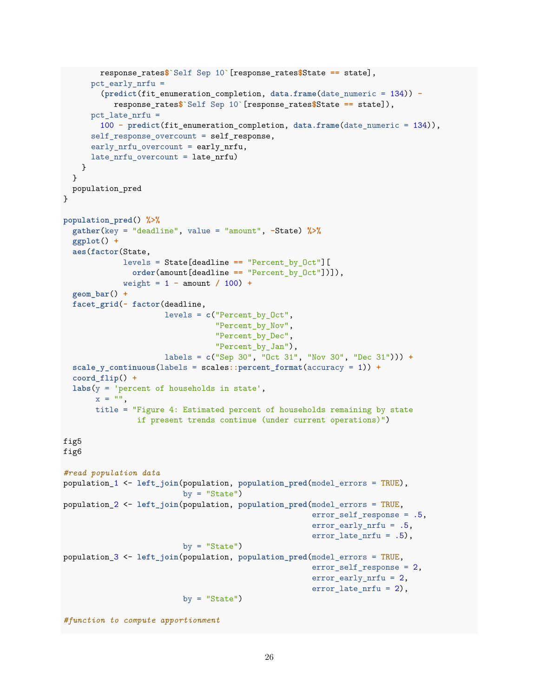```
response_rates$`Self Sep 10`[response_rates$State == state],
      pct_early_nrfu =
        (predict(fit_enumeration_completion, data.frame(date_numeric = 134)) -
           response_rates$`Self Sep 10`[response_rates$State == state]),
      pct_late_nrfu =
        100 - predict(fit_enumeration_completion, data.frame(date_numeric = 134)),
      self_response_overcount = self_response,
      early nrfu overcount = early nrfu,
     late_nrfu_overcount = late_nrfu)
    }
  }
 population_pred
}
population_pred() %>%
  gather(key = "deadline", value = "amount", -State) %>%
  ggplot() +
  aes(factor(State,
             levels = State[deadline == "Percent_by_Oct"][
               order(amount[deadline == "Percent_by_Oct"])]),
             weight = 1 - amount / 100 +
  geom_bar() +
  facet_grid(~ factor(deadline,
                      levels = c("Percent_by_Oct",
                                 "Percent by Nov",
                                 "Percent by Dec",
                                 "Percent by Jan"),
                      labels = c("Sep 30", "Oct 31", "Nov 30", "Dec 31"))) +
  scale_y_continuous(labels = scales::percent_format(accuracy = 1)) +
  coord_flip() +
  labs(y = 'percent of households in state',
       x = 0title = "Figure 4: Estimated percent of households remaining by state
                if present trends continue (under current operations)")
fig5
fig6
#read population data
population_1 <- left_join(population, population_pred(model_errors = TRUE),
                          by = "State")population_2 <- left_join(population, population_pred(model_errors = TRUE,
                                                      error self response = .5,
                                                      error early nrfu = .5,
                                                      error_late_nrfu = .5),
                          by = "State")population_3 <- left_join(population, population_pred(model_errors = TRUE,
                                                      error_self_response = 2,
                                                      error_early_nrfu = 2,
                                                      error_late_nrfu = 2),
                          by = "State")
```

```
#function to compute apportionment
```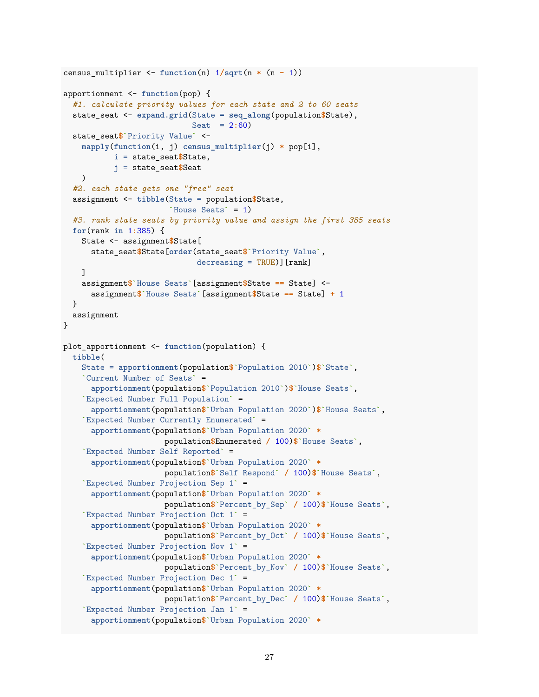```
census_multiplier <- function(n) 1/sqrt(n * (n - 1))
apportionment <- function(pop) {
  #1. calculate priority values for each state and 2 to 60 seats
  state_seat <- expand.grid(State = seq_along(population$State),
                            Seat = 2:60)
  state_seat$`Priority Value` <-
    mapply(function(i, j) census_multiplier(j) * pop[i],
           i = state_seat$State,
           j = state_seat$Seat
    )
  #2. each state gets one "free" seat
  assignment <- tibble(State = population$State,
                       `House Seats` = 1)
  #3. rank state seats by priority value and assign the first 385 seats
  for(rank in 1:385) {
    State <- assignment$State[
      state_seat$State[order(state_seat$`Priority Value`,
                             decreasing = TRUE][rank]]
    assignment$`House Seats`[assignment$State == State] <-
      assignment$`House Seats`[assignment$State == State] + 1
  }
  assignment
}
plot_apportionment <- function(population) {
  tibble(
    State = apportionment(population$`Population 2010`)$`State`,
    `Current Number of Seats` =
      apportionment(population$`Population 2010`)$`House Seats`,
    `Expected Number Full Population` =
      apportionment(population$`Urban Population 2020`)$`House Seats`,
    `Expected Number Currently Enumerated` =
      apportionment(population$`Urban Population 2020` *
                      population$Enumerated / 100)$`House Seats`,
    `Expected Number Self Reported` =
      apportionment(population$`Urban Population 2020` *
                      population$`Self Respond` / 100)$`House Seats`,
    `Expected Number Projection Sep 1` =
      apportionment(population$`Urban Population 2020` *
                      population$`Percent_by_Sep` / 100)$`House Seats`,
    `Expected Number Projection Oct 1` =
      apportionment(population$`Urban Population 2020` *
                      population$`Percent_by_Oct` / 100)$`House Seats`,
    `Expected Number Projection Nov 1` =
      apportionment(population$`Urban Population 2020` *
                      population$`Percent_by_Nov` / 100)$`House Seats`,
    `Expected Number Projection Dec 1` =
      apportionment(population$`Urban Population 2020` *
                      population$`Percent_by_Dec` / 100)$`House Seats`,
    `Expected Number Projection Jan 1` =
      apportionment(population$`Urban Population 2020` *
```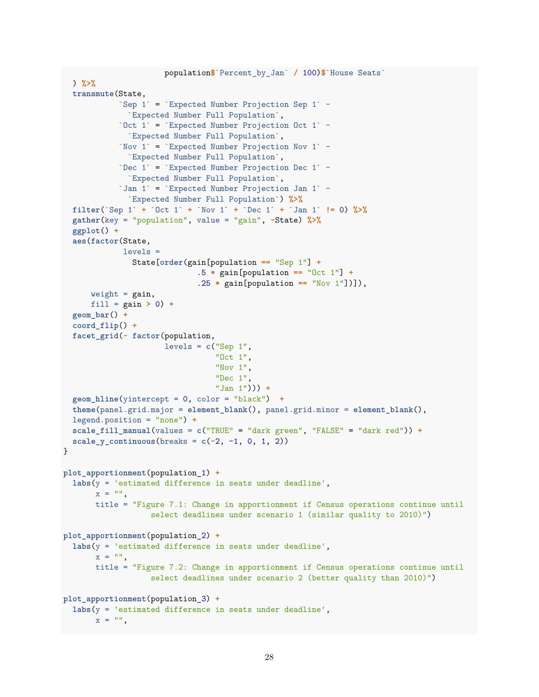```
population$`Percent_by_Jan` / 100)$`House Seats`
  ) %>%
  transmute(State,
            `Sep 1` = `Expected Number Projection Sep 1` -
              `Expected Number Full Population`,
            `Oct 1` = `Expected Number Projection Oct 1` -
              `Expected Number Full Population`,
            `Nov 1` = `Expected Number Projection Nov 1` -
              `Expected Number Full Population`,
            `Dec 1` = `Expected Number Projection Dec 1` -
              `Expected Number Full Population`,
            `Jan 1` = `Expected Number Projection Jan 1` -
              `Expected Number Full Population`) %>%
  filter(`Sep 1` + `Oct 1` + `Nov 1` + `Dec 1` + `Jan 1` != 0) %>%
  gather(key = "population", value = "gain", -State) %>%
  ggplot() +
  aes(factor(State,
             levels =
               State[order(gain[population == "Sep 1"] +
                             .5 * gain[population == "Oct 1"] +
                             .25 * gain[population == "Nov 1"])]),
     weight = gain,fill = gain > 0) +
  geom_bar() +
  coord_flip() +
  facet_grid(~ factor(population,
                      levels = c("Sep 1","Oct 1",
                                 "Nov 1",
                                 "Dec 1",
                                 "Jan 1"))) +
  geom_hline(yintercept = 0, color = "black") +
  theme(panel.grid.major = element_blank(), panel.grid.minor = element_blank(),
  legend.position = "none") +
  scale_fill_manual(values = c("TRUE" = "dark green", "FALSE" = "dark red")) +
  scale_y_:continuous(breaks = c(-2, -1, 0, 1, 2))
}
plot_apportionment(population_1) +
  labs(y = 'estimated difference in seats under deadline',
       x = 0",
       title = "Figure 7.1: Change in apportionment if Census operations continue until
                   select deadlines under scenario 1 (similar quality to 2010)")
plot_apportionment(population_2) +
  labs(y = 'estimated difference in seats under deadline',
       x = 0",
       title = "Figure 7.2: Change in apportionment if Census operations continue until
                   select deadlines under scenario 2 (better quality than 2010)")
plot_apportionment(population_3) +
  labs(y = 'estimated difference in seats under deadline',
       x = """
```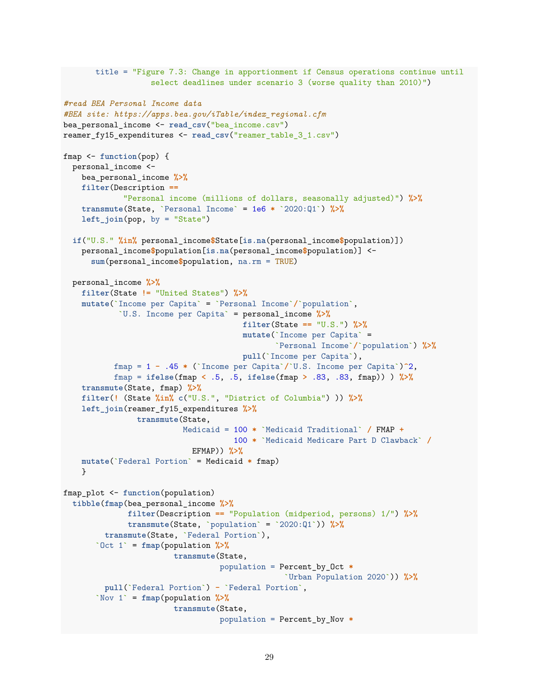```
title = "Figure 7.3: Change in apportionment if Census operations continue until
                   select deadlines under scenario 3 (worse quality than 2010)")
#read BEA Personal Income data
#BEA site: https://apps.bea.gov/iTable/index_regional.cfm
bea_personal_income <- read_csv("bea_income.csv")
reamer_fy15_expenditures <- read_csv("reamer_table_3_1.csv")
fmap <- function(pop) {
 personal_income <-
   bea_personal_income %>%
   filter(Description ==
             "Personal income (millions of dollars, seasonally adjusted)") %>%
   transmute(State, `Personal Income` = 1e6 * `2020:Q1`) %>%
   left_join(pop, by = "State")
  if("U.S." %in% personal_income$State[is.na(personal_income$population)])
   personal_income$population[is.na(personal_income$population)] <-
      sum(personal_income$population, na.rm = TRUE)
  personal_income %>%
   filter(State != "United States") %>%
   mutate(`Income per Capita` = `Personal Income`/`population`,
            `U.S. Income per Capita` = personal_income %>%
                                       filter(State == "U.S.") %>%
                                       mutate(`Income per Capita` =
                                              `Personal Income`/`population`) %>%
                                       pull(`Income per Capita`),
           fmap = 1 - .45 * (`Income per Capita`/`U.S. Income per Capita`)^2,
           fmap = ifelse(fmap < .5, .5, ifelse(fmap > .83, .83, fmap)) ) %>%
   transmute(State, fmap) %>%
   filter(! (State %in% c("U.S.", "District of Columbia") )) %>%
   left_join(reamer_fy15_expenditures %>%
                transmute(State,
                          Medicaid = 100 * `Medicaid Traditional` / FMAP +
                                     100 * `Medicaid Medicare Part D Clawback` /
                            EFMAP)) %>%
   mutate(`Federal Portion` = Medicaid * fmap)
   }
fmap_plot <- function(population)
  tibble(fmap(bea_personal_income %>%
              filter(Description == "Population (midperiod, persons) 1/") %>%
              transmute(State, `population` = `2020:Q1`)) %>%
         transmute(State, `Federal Portion`),
       `Oct 1` = fmap(population %>%
                        transmute(State,
                                  population = Percent_by_Oct *
                                                `Urban Population 2020`)) %>%
         pull(`Federal Portion`) - `Federal Portion`,
       `Nov 1` = fmap(population %>%
                        transmute(State,
                                  population = Percent_by_Nov *
```